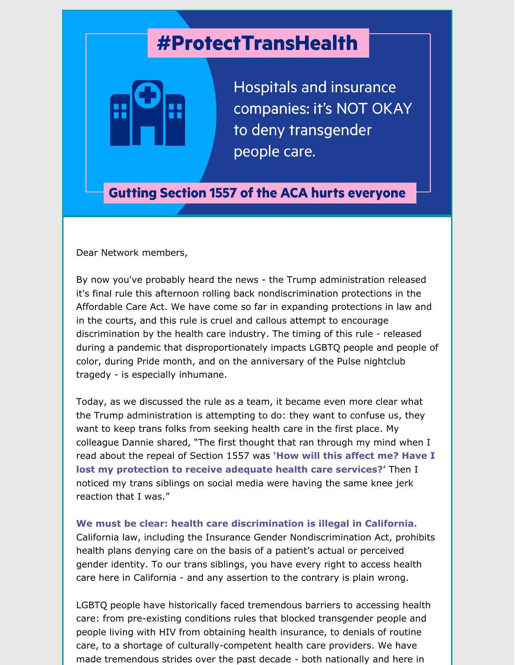## **#ProtectTransHealth**



**Hospitals and insurance** companies: it's NOT OKAY to deny transgender people care.

**Gutting Section 1557 of the ACA hurts everyone** 

Dear Network members,

By now you've probably heard the news - the Trump administration released it's final rule this afternoon rolling back nondiscrimination protections in the Affordable Care Act. We have come so far in expanding protections in law and in the courts, and this rule is cruel and callous attempt to encourage discrimination by the health care industry. The timing of this rule - released during a pandemic that disproportionately impacts LGBTQ people and people of color, during Pride month, and on the anniversary of the Pulse nightclub tragedy - is especially inhumane.

Today, as we discussed the rule as a team, it became even more clear what the Trump administration is attempting to do: they want to confuse us, they want to keep trans folks from seeking health care in the first place. My colleague Dannie shared, "The first thought that ran through my mind when I read about the repeal of Section 1557 was **'How will this affect me? Have I lost my protection to receive adequate health care services?'** Then I noticed my trans siblings on social media were having the same knee jerk reaction that I was."

**We must be clear: health care discrimination is illegal in California.** California law, including the Insurance Gender Nondiscrimination Act, prohibits health plans denying care on the basis of a patient's actual or perceived gender identity. To our trans siblings, you have every right to access health care here in California - and any assertion to the contrary is plain wrong.

LGBTQ people have historically faced tremendous barriers to accessing health care: from pre-existing conditions rules that blocked transgender people and people living with HIV from obtaining health insurance, to denials of routine care, to a shortage of culturally-competent health care providers. We have made tremendous strides over the past decade - both nationally and here in